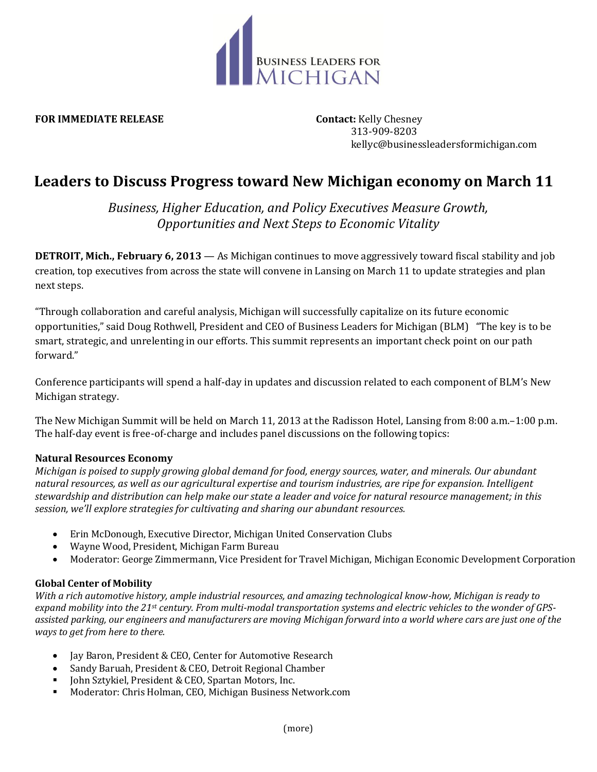

**FOR IMMEDIATE RELEASE Contact:** Kelly Chesney

 313-909-8203 kellyc@businessleadersformichigan.com

# **Leaders to Discuss Progress toward New Michigan economy on March 11**

*Business, Higher Education, and Policy Executives Measure Growth, Opportunities and Next Steps to Economic Vitality*

**DETROIT, Mich., February 6, 2013** — As Michigan continues to move aggressively toward fiscal stability and job creation, top executives from across the state will convene in Lansing on March 11 to update strategies and plan next steps.

"Through collaboration and careful analysis, Michigan will successfully capitalize on its future economic opportunities," said Doug Rothwell, President and CEO of Business Leaders for Michigan (BLM) "The key is to be smart, strategic, and unrelenting in our efforts. This summit represents an important check point on our path forward."

Conference participants will spend a half-day in updates and discussion related to each component of BLM's New Michigan strategy.

The New Michigan Summit will be held on March 11, 2013 at the Radisson Hotel, Lansing from 8:00 a.m.–1:00 p.m. The half-day event is free-of-charge and includes panel discussions on the following topics:

# **Natural Resources Economy**

*Michigan is poised to supply growing global demand for food, energy sources, water, and minerals. Our abundant natural resources, as well as our agricultural expertise and tourism industries, are ripe for expansion. Intelligent stewardship and distribution can help make our state a leader and voice for natural resource management; in this session, we'll explore strategies for cultivating and sharing our abundant resources.*

- Erin McDonough, Executive Director, Michigan United Conservation Clubs
- Wayne Wood, President, Michigan Farm Bureau
- Moderator: George Zimmermann, Vice President for Travel Michigan, Michigan Economic Development Corporation

# **Global Center of Mobility**

*With a rich automotive history, ample industrial resources, and amazing technological know-how, Michigan is ready to expand mobility into the 21st century. From multi-modal transportation systems and electric vehicles to the wonder of GPSassisted parking, our engineers and manufacturers are moving Michigan forward into a world where cars are just one of the ways to get from here to there.*

- Jay Baron, President & CEO, Center for Automotive Research
- Sandy Baruah, President & CEO, Detroit Regional Chamber
- John Sztykiel, President & CEO, Spartan Motors, Inc.
- Moderator: Chris Holman, CEO, Michigan Business Network.com